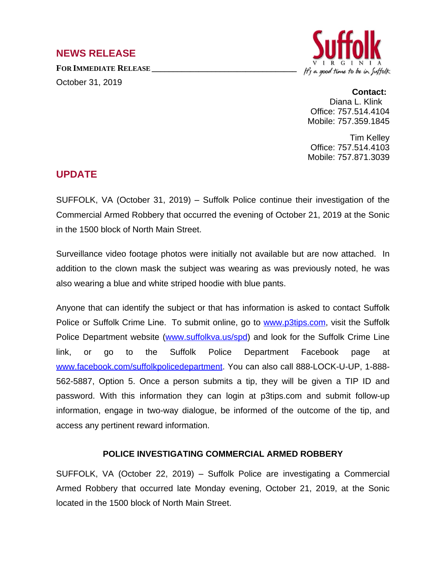## **NEWS RELEASE**

**FOR IMMEDIATE RELEASE \_\_\_\_\_\_\_\_\_\_\_\_\_\_\_\_\_\_\_\_\_\_\_\_\_\_\_\_\_\_\_\_\_\_**

October 31, 2019



## **Contact:**

Diana L. Klink Office: 757.514.4104 Mobile: 757.359.1845

Tim Kelley Office: 757.514.4103 Mobile: 757.871.3039

## **UPDATE**

SUFFOLK, VA (October 31, 2019) – Suffolk Police continue their investigation of the Commercial Armed Robbery that occurred the evening of October 21, 2019 at the Sonic in the 1500 block of North Main Street.

Surveillance video footage photos were initially not available but are now attached. In addition to the clown mask the subject was wearing as was previously noted, he was also wearing a blue and white striped hoodie with blue pants.

Anyone that can identify the subject or that has information is asked to contact Suffolk Police or Suffolk Crime Line. To submit online, go to [www.p3tips.com,](http://www.p3tips.com) visit the Suffolk Police Department website [\(www.suffolkva.us/spd](http://www.suffolkva.us/spd)) and look for the Suffolk Crime Line link, or go to the Suffolk Police Department Facebook page at [www.facebook.com/suffolkpolicedepartment](http://www.facebook.com/suffolkpolicedepartment). You can also call 888-LOCK-U-UP, 1-888- 562-5887, Option 5. Once a person submits a tip, they will be given a TIP ID and password. With this information they can login at p3tips.com and submit follow-up information, engage in two-way dialogue, be informed of the outcome of the tip, and access any pertinent reward information.

## **POLICE INVESTIGATING COMMERCIAL ARMED ROBBERY**

SUFFOLK, VA (October 22, 2019) – Suffolk Police are investigating a Commercial Armed Robbery that occurred late Monday evening, October 21, 2019, at the Sonic located in the 1500 block of North Main Street.